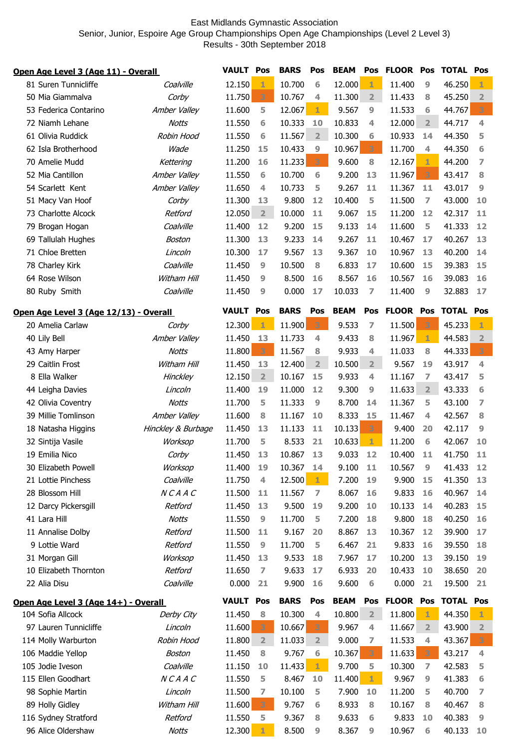## East Midlands Gymnastic Association Senior, Junior, Espoire Age Group Championships Open Age Championships (Level 2 Level 3) Results - 30th September 2018

| Open Age Level 3 (Age 11) - Overall  |                                        | <b>VAULT Pos</b>   |                  | <b>BARS</b>    | Pos         | <b>BEAM</b>    |             | Pos FLOOR Pos    |              | <b>TOTAL Pos</b> |                  |                         |
|--------------------------------------|----------------------------------------|--------------------|------------------|----------------|-------------|----------------|-------------|------------------|--------------|------------------|------------------|-------------------------|
|                                      | 81 Suren Tunnicliffe                   | Coalville          | 12.150           | 1              | 10.700      | 6              | 12.000      | $\mathbf{1}$     | 11.400       | 9                | 46.250           | 1                       |
|                                      | 50 Mia Giammalya                       | Corby              | 11.750           | 3              | 10.767      | 4              | 11.300      | $\overline{2}$   | 11.433       | 8                | 45.250           | $\overline{2}$          |
|                                      | 53 Federica Contarino                  | Amber Valley       | 11.600           | 5              | 12.067      | 1              | 9.567       | 9                | 11.533       | 6                | 44.767           | 3                       |
|                                      | 72 Niamh Lehane                        | <b>Notts</b>       | 11.550           | 6              | 10.333      | 10             | 10.833      | 4                | 12.000       | $\overline{2}$   | 44.717           | $\overline{\mathbf{4}}$ |
|                                      | 61 Olivia Ruddick                      | Robin Hood         | 11.550           | 6              | 11.567      | $\overline{2}$ | 10.300      | 6                | 10.933       | 14               | 44.350           | 5                       |
|                                      | 62 Isla Brotherhood                    | Wade               | 11.250           | 15             | 10.433      | 9              | 10.967      | 3                | 11.700       | $\overline{4}$   | 44.350           | 6                       |
|                                      | 70 Amelie Mudd                         | Kettering          | 11.200           | 16             | 11.233      | 3              | 9.600       | 8                | 12.167       | 1                | 44.200           | 7                       |
|                                      | 52 Mia Cantillon                       | Amber Valley       | 11.550           | 6              | 10.700      | 6              | 9.200       | 13               | 11.967       | 3                | 43.417           | 8                       |
|                                      | 54 Scarlett Kent                       | Amber Valley       | 11.650           | 4              | 10.733      | 5              | 9.267       | 11               | 11.367       | 11               | 43.017           | 9                       |
|                                      | 51 Macy Van Hoof                       | Corby              | 11.300           | 13             | 9.800       | 12             | 10.400      | 5                | 11.500       | $\overline{7}$   | 43.000           | 10                      |
|                                      | 73 Charlotte Alcock                    | Retford            | 12.050           | $\overline{2}$ | 10.000      | 11             | 9.067       | 15               | 11.200       | 12               | 42.317           | 11                      |
|                                      | 79 Brogan Hogan                        | Coalville          | 11.400           | 12             | 9.200       | 15             | 9.133       | 14               | 11.600       | 5                | 41.333           | 12                      |
|                                      | 69 Tallulah Hughes                     | Boston             | 11.300           | 13             | 9.233       | 14             | 9.267       | 11               | 10.467       | 17               | 40.267           | 13                      |
|                                      | 71 Chloe Bretten                       | Lincoln            | 10.300           | 17             | 9.567       | 13             | 9.367       | 10               | 10.967       | 13               | 40.200           | 14                      |
|                                      | 78 Charley Kirk                        | Coalville          | 11.450           | 9              | 10.500      | 8              | 6.833       | 17               | 10.600       | 15               | 39.383           | 15                      |
|                                      | 64 Rose Wilson                         | Witham Hill        | 11.450           | 9              | 8.500       | 16             | 8.567       | 16               | 10.567       | 16               | 39.083           | 16                      |
|                                      | 80 Ruby Smith                          | Coalville          | 11.450           | 9              | 0.000       | 17             | 10.033      | $\overline{7}$   | 11.400       | 9                | 32.883           | 17                      |
|                                      | Open Age Level 3 (Age 12/13) - Overall |                    | <b>VAULT Pos</b> |                | <b>BARS</b> | Pos            | <b>BEAM</b> | Pos              | <b>FLOOR</b> | Pos              | <b>TOTAL Pos</b> |                         |
|                                      | 20 Amelia Carlaw                       | Corby              | 12.300           | $\mathbf{1}$   | 11.900      | 3              | 9.533       | $\overline{z}$   | 11.500       | 3                | 45.233           | 1                       |
|                                      | 40 Lily Bell                           | Amber Valley       | 11.450           | 13             | 11.733      | 4              | 9.433       | 8                | 11.967       | $\mathbf{1}$     | 44.583           | $\overline{2}$          |
|                                      | 43 Amy Harper                          | <b>Notts</b>       | 11.800           | 3              | 11.567      | 8              | 9.933       | 4                | 11.033       | 8                | 44.333           | з                       |
|                                      | 29 Caitlin Frost                       | Witham Hill        | 11.450           | 13             | 12.400      | $\overline{2}$ | 10.500      | 2 <sup>1</sup>   | 9.567        | 19               | 43.917           | 4                       |
|                                      | 8 Ella Walker                          | Hinckley           | 12.150           | 2 <sup>2</sup> | 10.167      | 15             | 9.933       | 4                | 11.167       | 7                | 43.417           | 5                       |
|                                      | 44 Leigha Davies                       | Lincoln            | 11.400           | 19             | 11.000      | 12             | 9.300       | 9                | 11.633       | $\overline{2}$   | 43.333           | 6                       |
|                                      | 42 Olivia Coventry                     | <b>Notts</b>       | 11.700           | 5              | 11.333      | 9              | 8.700       | 14               | 11.367       | 5                | 43.100           | 7                       |
|                                      | 39 Millie Tomlinson                    | Amber Valley       | 11.600           | 8              | 11.167      | 10             | 8.333       | 15               | 11.467       | 4                | 42.567           | 8                       |
|                                      | 18 Natasha Higgins                     | Hinckley & Burbage | 11.450           | 13             | 11.133      | 11             | 10.133      | 3                | 9.400        | 20               | 42.117           | $\overline{9}$          |
|                                      | 32 Sintija Vasile                      | Worksop            | 11.700           | 5              | 8.533       | 21             | 10.633      | $\mathbf{1}$     | 11.200       | 6                | 42.067           | 10                      |
|                                      | 19 Emilia Nico                         | Corby              | 11.450           | 13             | 10.867      | 13             | 9.033       | 12               | 10.400       | 11               | 41.750           | 11                      |
|                                      | 30 Elizabeth Powell                    | Worksop            | 11.400           | 19             | 10.367      | 14             | 9.100       | 11               | 10.567       | 9                | 41.433           | $12$                    |
|                                      | 21 Lottie Pinchess                     | Coalville          | 11.750           | 4              | 12.500      | $\mathbf{1}$   | 7.200       | 19               | 9.900        | 15               | 41.350           | 13                      |
|                                      | 28 Blossom Hill                        | NCAAC              | 11.500           | 11             | 11.567      | 7              | 8.067       | 16               | 9.833        | 16               | 40.967           | 14                      |
|                                      | 12 Darcy Pickersgill                   | Retford            | 11.450           | 13             | 9.500       | 19             | 9.200       | 10               | 10.133       | 14               | 40.283           | 15                      |
|                                      | 41 Lara Hill                           | <b>Notts</b>       | 11.550           | 9              | 11.700      | 5              | 7.200       | 18               | 9.800        | 18               | 40.250           | <b>16</b>               |
|                                      | 11 Annalise Dolby                      | Retford            | 11.500           | 11             | 9.167       | 20             | 8.867       | 13               | 10.367       | 12               | 39.900           | 17                      |
|                                      | 9 Lottie Ward                          | Retford            | 11.550           | 9              | 11.700      | 5              | 6.467       | 21               | 9.833        | 16               | 39.550           | 18                      |
|                                      | 31 Morgan Gill                         | Worksop            | 11.450           | 13             | 9.533       | 18             | 7.967       | 17               | 10.200       | 13               | 39.150           | 19                      |
|                                      | 10 Elizabeth Thornton                  | Retford            | 11.650           | 7              | 9.633       | 17             | 6.933       | 20               | 10.433       | 10               | 38.650           | 20                      |
|                                      | 22 Alia Disu                           | Coalville          | 0.000            | 21             | 9.900       | 16             | 9.600       | $6\phantom{1}6$  | 0.000        | 21               | 19.500           | 21                      |
| Open Age Level 3 (Age 14+) - Overall |                                        | <b>VAULT Pos</b>   |                  | <b>BARS</b>    | Pos         | <b>BEAM</b>    | Pos         | <b>FLOOR Pos</b> |              | <b>TOTAL Pos</b> |                  |                         |
|                                      | 104 Sofia Allcock                      | Derby City         | 11.450           | 8              | 10.300      | 4              | 10.800      | $\overline{2}$   | 11.800       | 1                | 44.350           | 1                       |
|                                      | 97 Lauren Tunnicliffe                  | Lincoln            | 11.600           | 3              | 10.667      | 3              | 9.967       | 4                | 11.667       | $\overline{2}$   | 43.900           | $\overline{2}$          |
|                                      | 114 Molly Warburton                    | Robin Hood         | 11.800           | $\overline{2}$ | 11.033      | $\overline{2}$ | 9.000       | 7                | 11.533       | 4                | 43.367           | 3                       |
|                                      | 106 Maddie Yellop                      | Boston             | 11.450           | 8              | 9.767       | 6              | 10.367      | 3                | 11.633       | 3                | 43.217           | 4                       |
|                                      | 105 Jodie Iveson                       | Coalville          | 11.150           | 10             | 11.433      | $\mathbf{1}$   | 9.700       | 5                | 10.300       | $\overline{7}$   | 42.583           | 5                       |
|                                      | 115 Ellen Goodhart                     | NCAAC              | 11.550           | 5              | 8.467       | 10             | 11.400      | $\mathbf{1}$     | 9.967        | 9                | 41.383           | 6                       |
|                                      | 98 Sophie Martin                       | Lincoln            | 11.500           | 7              | 10.100      | 5              | 7.900       | 10               | 11.200       | 5                | 40.700           | 7                       |
|                                      | 89 Holly Gidley                        | Witham Hill        | 11.600           | 3              | 9.767       | 6              | 8.933       | 8                | 10.167       | 8                | 40.467           | 8                       |
|                                      | 116 Sydney Stratford                   | Retford            | 11.550           | 5              | 9.367       | 8              | 9.633       | 6                | 9.833        | 10               | 40.383           | 9                       |
|                                      | 96 Alice Oldershaw                     | <b>Notts</b>       | 12.300           | $\mathbf{1}$   | 8.500       | 9              | 8.367       | 9                | 10.967       | 6                | 40.133           | 10                      |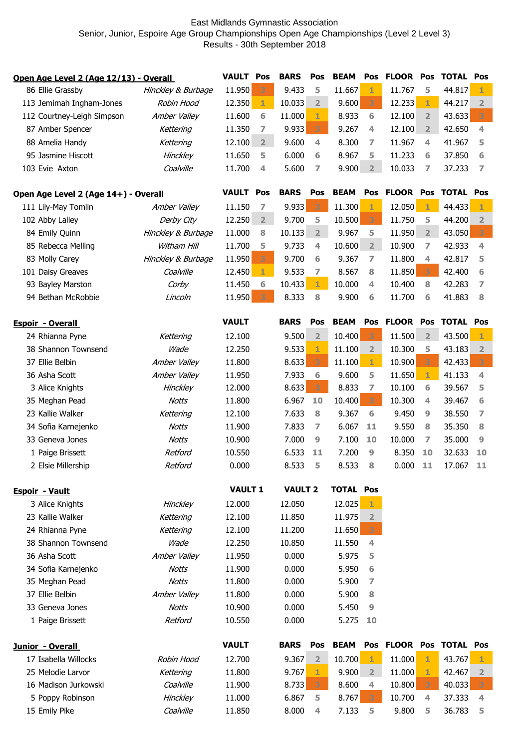## East Midlands Gymnastic Association Senior, Junior, Espoire Age Group Championships Open Age Championships (Level 2 Level 3) Results - 30th September 2018

| Open Age Level 2 (Age 12/13) - Overall |                    |                  | <b>VAULT Pos</b> | <b>BARS</b>    | Pos            | <b>BEAM</b>      | Pos            | <b>FLOOR</b>            | Pos            | <b>TOTAL Pos</b> |                         |
|----------------------------------------|--------------------|------------------|------------------|----------------|----------------|------------------|----------------|-------------------------|----------------|------------------|-------------------------|
| 86 Ellie Grassby                       | Hinckley & Burbage | 11.950           | 3                | 9.433          | 5              | 11.667           | 1              | 11.767                  | 5              | 44.817           | $\mathbf{1}$            |
| 113 Jemimah Ingham-Jones               | Robin Hood         | 12.350           | $\mathbf{1}$     | 10.033         | $\overline{2}$ | 9.600            | 3              | 12.233                  | 1              | 44.217           | $\overline{2}$          |
| 112 Courtney-Leigh Simpson             | Amber Valley       | 11.600           | 6                | 11.000         | 1              | 8.933            | 6              | 12.100                  | $\overline{2}$ | 43.633           | $\overline{3}$          |
| 87 Amber Spencer                       | Kettering          | 11.350           | 7                | 9.933          | 3              | 9.267            | 4              | 12.100                  | $\overline{2}$ | 42.650           | 4                       |
| 88 Amelia Handy                        | Kettering          | 12.100           | $\overline{2}$   | 9.600          | 4              | 8.300            | 7              | 11.967                  | 4              | 41.967           | 5                       |
| 95 Jasmine Hiscott                     | <b>Hinckley</b>    | 11.650           | 5                | 6.000          | 6              | 8.967            | 5              | 11.233                  | 6              | 37.850           | 6                       |
| 103 Evie Axton                         | Coalville          | 11.700           | 4                | 5.600          | 7              | 9.900            | $\overline{2}$ | 10.033                  | 7              | 37.233           | 7                       |
|                                        |                    |                  |                  |                |                |                  |                |                         |                |                  |                         |
| Open Age Level 2 (Age 14+) - Overall   |                    | <b>VAULT Pos</b> |                  | <b>BARS</b>    | Pos            | <b>BEAM</b>      | Pos            | <b>FLOOR Pos</b>        |                | <b>TOTAL Pos</b> |                         |
| 111 Lily-May Tomlin                    | Amber Valley       | 11.150           | 7                | 9.933          | 3              | 11.300           | 1              | 12.050                  | $\mathbf{1}$   | 44.433           | $1 -$                   |
| 102 Abby Lalley                        | Derby City         | 12.250           | $\overline{2}$   | 9.700          | 5              | 10.500           | 3              | 11.750                  | 5              | 44.200           | $\overline{\mathbf{2}}$ |
| 84 Emily Quinn                         | Hinckley & Burbage | 11.000           | 8                | 10.133         | $\overline{2}$ | 9.967            | 5              | 11.950                  | $\overline{2}$ | 43.050           | 3 <sup>7</sup>          |
| 85 Rebecca Melling                     | Witham Hill        | 11.700           | 5                | 9.733          | 4              | 10.600           | 2 <sup>1</sup> | 10.900                  | 7              | 42.933           | 4                       |
| 83 Molly Carey                         | Hinckley & Burbage | 11.950           | 3                | 9.700          | 6              | 9.367            | $\overline{7}$ | 11.800                  | 4              | 42.817           | 5                       |
| 101 Daisy Greaves                      | Coalville          | 12.450           | 1                | 9.533          | 7              | 8.567            | 8              | 11.850                  | 3              | 42.400           | 6                       |
| 93 Bayley Marston                      | Corby              | 11.450           | 6                | 10.433         | 1              | 10.000           | 4              | 10.400                  | 8              | 42.283           | 7                       |
| 94 Bethan McRobbie                     | Lincoln            | 11.950           | 3                | 8.333          | 8              | 9.900            | 6              | 11.700                  | 6              | 41.883           | 8                       |
|                                        |                    |                  |                  |                |                |                  |                |                         |                |                  |                         |
| <b>Espoir - Overall</b>                |                    | <b>VAULT</b>     |                  | <b>BARS</b>    | Pos            | <b>BEAM</b>      | Pos            | <b>FLOOR Pos</b>        |                | <b>TOTAL Pos</b> |                         |
| 24 Rhianna Pyne                        | Kettering          | 12.100           |                  | 9.500          | $\overline{2}$ | 10.400           | 3              | 11.500                  | $\overline{2}$ | 43.500           | $\mathbf{1}$            |
| 38 Shannon Townsend                    | Wade               | 12.250           |                  | 9.533          | 1              | 11.100           | $\overline{2}$ | 10.300                  | 5              | 43.183           | $\overline{2}$          |
| 37 Ellie Belbin                        | Amber Valley       | 11.800           |                  | 8.633          | 3              | 11.100           | $\mathbf{1}$   | 10.900                  | 3              | 42.433           | 3                       |
| 36 Asha Scott                          | Amber Valley       | 11.950           |                  | 7.933          | 6              | 9.600            | 5              | 11.650                  | 1              | 41.133           | 4                       |
| 3 Alice Knights                        | <b>Hinckley</b>    | 12.000           |                  | 8.633          | 3              | 8.833            | 7              | 10.100                  | 6              | 39.567           | 5                       |
| 35 Meghan Pead                         | <b>Notts</b>       | 11.800           |                  | 6.967          | 10             | 10.400           | 3              | 10.300                  | 4              | 39.467           | 6                       |
| 23 Kallie Walker                       | Kettering          | 12.100           |                  | 7.633          | 8              | 9.367            | 6              | 9.450                   | 9              | 38.550           | 7                       |
| 34 Sofia Karnejenko                    | <b>Notts</b>       | 11.900           |                  | 7.833          | 7              | 6.067            | 11             | 9.550                   | 8              | 35.350           | 8                       |
| 33 Geneva Jones                        | <b>Notts</b>       | 10.900           |                  | 7.000          | 9              | 7.100            | 10             | 10.000                  | 7              | 35.000           | 9                       |
| 1 Paige Brissett                       | Retford            | 10.550           |                  | 6.533          | 11             | 7.200            | 9              | 8.350                   | 10             | 32.633           | 10                      |
| 2 Elsie Millership                     | Retford            | 0.000            |                  | 8.533          | 5              | 8.533            | 8              | 0.000                   | -11            | 17.067           | 11                      |
|                                        |                    |                  |                  |                |                |                  |                |                         |                |                  |                         |
| <b>Espoir - Vault</b>                  |                    | <b>VAULT 1</b>   |                  | <b>VAULT 2</b> |                | <b>TOTAL Pos</b> |                |                         |                |                  |                         |
| 3 Alice Knights                        | Hinckley           | 12.000           |                  | 12.050         |                | 12.025           | 1              |                         |                |                  |                         |
| 23 Kallie Walker                       | Kettering          | 12.100           |                  | 11.850         |                | 11.975           | $\overline{2}$ |                         |                |                  |                         |
| 24 Rhianna Pyne                        | Kettering          | 12.100           |                  | 11.200         |                | 11.650           | 3              |                         |                |                  |                         |
| 38 Shannon Townsend                    | Wade               | 12.250           |                  | 10.850         |                | 11.550           | 4              |                         |                |                  |                         |
| 36 Asha Scott                          | Amber Valley       | 11.950           |                  | 0.000          |                | 5.975            | 5              |                         |                |                  |                         |
| 34 Sofia Karnejenko                    | Notts              | 11.900           |                  | 0.000          |                | 5.950            | 6              |                         |                |                  |                         |
| 35 Meghan Pead                         | Notts              | 11.800           |                  | 0.000          |                | 5.900            | $\overline{7}$ |                         |                |                  |                         |
| 37 Ellie Belbin                        | Amber Valley       | 11.800           |                  | 0.000          |                | 5.900            | 8              |                         |                |                  |                         |
| 33 Geneva Jones                        | <b>Notts</b>       | 10.900           |                  | 0.000          |                | 5.450            | 9              |                         |                |                  |                         |
| 1 Paige Brissett                       | Retford            | 10.550           |                  | 0.000          |                | 5.275            | 10             |                         |                |                  |                         |
|                                        |                    |                  |                  |                |                |                  |                |                         |                |                  |                         |
| Junior - Overall                       |                    | <b>VAULT</b>     |                  | <b>BARS</b>    | Pos            | <b>BEAM</b>      |                | Pos FLOOR Pos TOTAL Pos |                |                  |                         |
| 17 Isabella Willocks                   | Robin Hood         | 12.700           |                  | 9.367          | 2 <sup>1</sup> | 10.700           | $\mathbf{1}$   | 11.000                  | $\mathbf{1}$   | 43.767           | 1                       |
| 25 Melodie Larvor                      | Kettering          | 11.800           |                  | 9.767          | 1              | 9.900            | $\overline{2}$ | 11.000                  | 1              | 42.467           | $\overline{2}$          |
| 16 Madison Jurkowski                   | Coalville          | 11.900           |                  | 8.733          | 3              | 8.600            | 4              | 10.800                  | 3              | 40.033           | 3                       |
| 5 Poppy Robinson                       | Hinckley           | 11.000           |                  | 6.867          | 5              | 8.767            | 3              | 10.700                  | 4              | 37.333           | 4                       |
| 15 Emily Pike                          | Coalville          | 11.850           |                  | 8.000          | 4              | 7.133            | 5              | 9.800                   | 5              | 36.783           | 5                       |